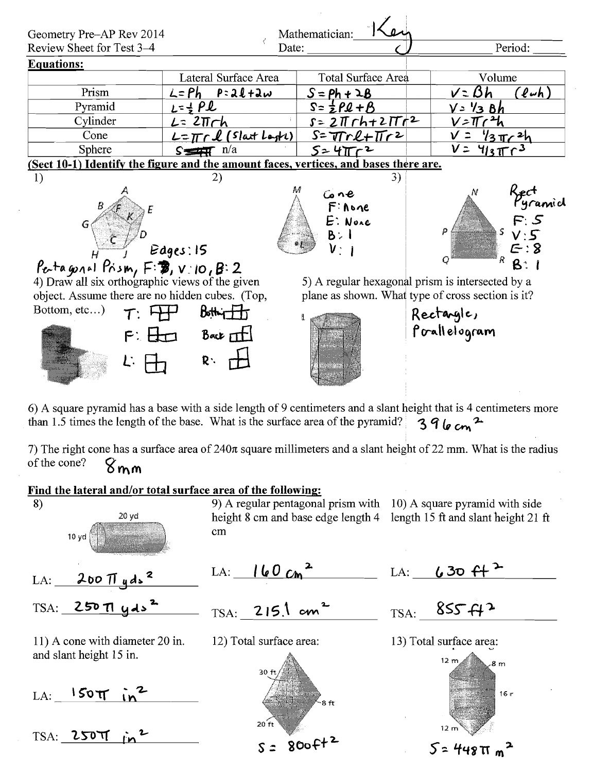



height 8 cm and base edge length 4 length 15 ft and slant height 21 ft cm

 $LA: 200 \pi y ds^2$ 

 $TSA: 250 T1 yds<sup>2</sup>$ 

11) A cone with diameter 20 in. and slant height 15 in.

 $LA:$   $150T$ 

TSA: 250TT in

 $LA:$   $160cm^2$ 

 $\text{TSA:} \begin{array}{c} 215.1 \text{ cm}^2 \end{array}$ 

12) Total surface area:



LA:  $630 f^{2}$ 

 $TSA:$  855  $H^2$ 





 $5 = 448 \pi m^2$